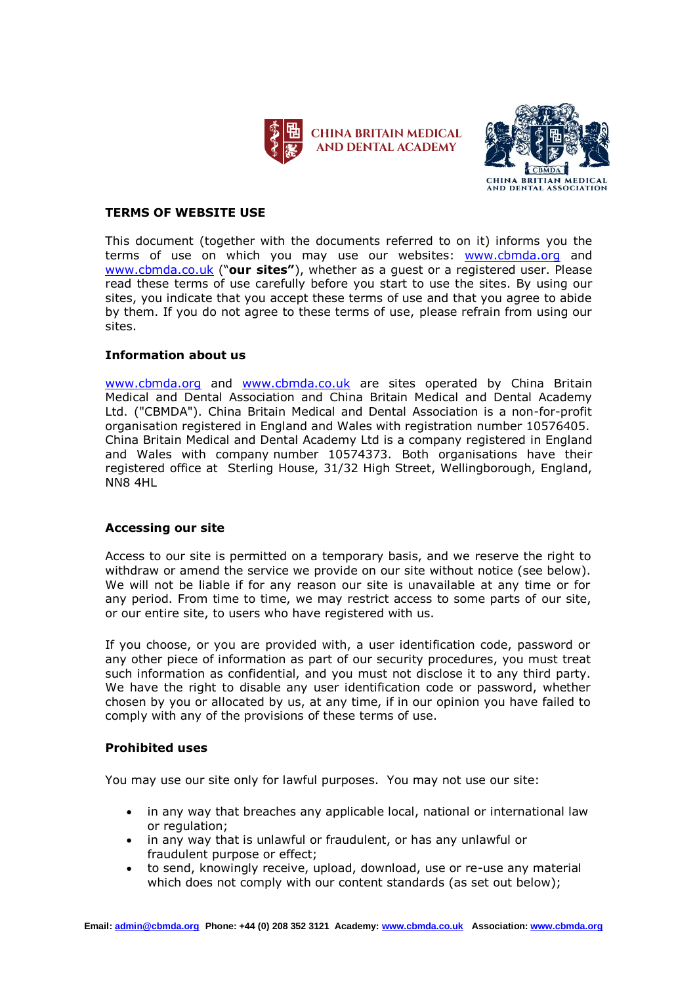



# **TERMS OF WEBSITE USE**

This document (together with the documents referred to on it) informs you the terms of use on which you may use our websites: [www.cbmda.org](http://www.cbmda.org/) and [www.cbmda.co.uk](http://www.cbmda.co.uk/) ("**our sites"**), whether as a guest or a registered user. Please read these terms of use carefully before you start to use the sites. By using our sites, you indicate that you accept these terms of use and that you agree to abide by them. If you do not agree to these terms of use, please refrain from using our sites.

# **Information about us**

[www.cbmda.org](http://www.cbmda.org/) and [www.cbmda.co.uk](http://www.cbmda.co.uk/) are sites operated by China Britain Medical and Dental Association and China Britain Medical and Dental Academy Ltd. ("CBMDA"). China Britain Medical and Dental Association is a non-for-profit organisation registered in England and Wales with registration number 10576405. China Britain Medical and Dental Academy Ltd is a company registered in England and Wales with company number 10574373. Both organisations have their registered office at Sterling House, 31/32 High Street, Wellingborough, England, NN8 4HL

## **Accessing our site**

Access to our site is permitted on a temporary basis, and we reserve the right to withdraw or amend the service we provide on our site without notice (see below). We will not be liable if for any reason our site is unavailable at any time or for any period. From time to time, we may restrict access to some parts of our site, or our entire site, to users who have registered with us.

If you choose, or you are provided with, a user identification code, password or any other piece of information as part of our security procedures, you must treat such information as confidential, and you must not disclose it to any third party. We have the right to disable any user identification code or password, whether chosen by you or allocated by us, at any time, if in our opinion you have failed to comply with any of the provisions of these terms of use.

## **Prohibited uses**

You may use our site only for lawful purposes. You may not use our site:

- in any way that breaches any applicable local, national or international law or regulation;
- in any way that is unlawful or fraudulent, or has any unlawful or fraudulent purpose or effect;
- to send, knowingly receive, upload, download, use or re-use any material which does not comply with our content standards (as set out below);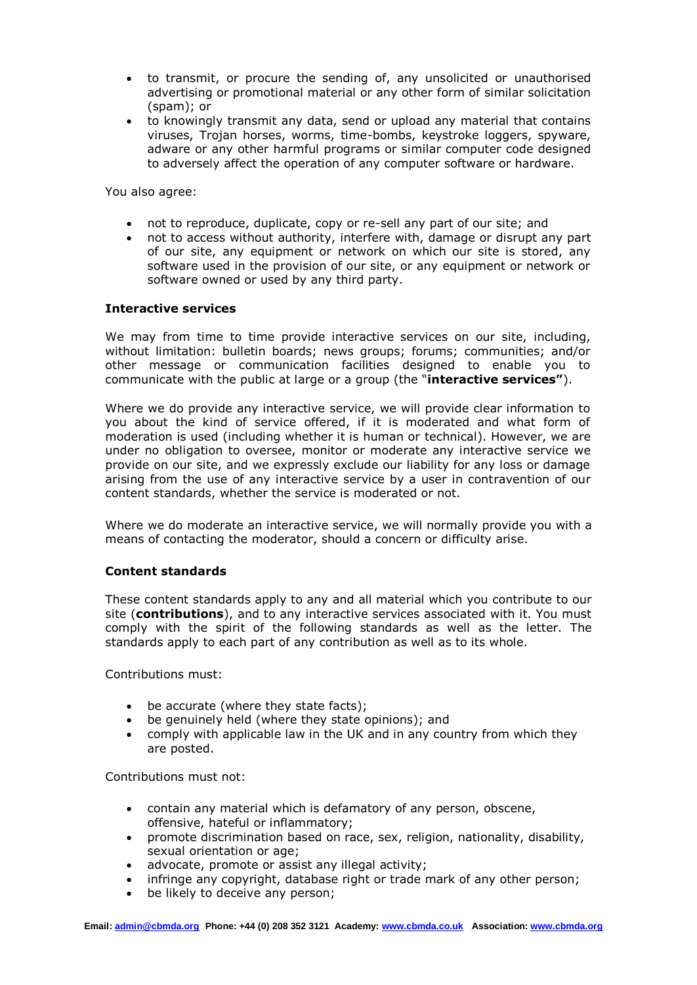- to transmit, or procure the sending of, any unsolicited or unauthorised advertising or promotional material or any other form of similar solicitation (spam); or
- to knowingly transmit any data, send or upload any material that contains viruses, Trojan horses, worms, time-bombs, keystroke loggers, spyware, adware or any other harmful programs or similar computer code designed to adversely affect the operation of any computer software or hardware.

You also agree:

- not to reproduce, duplicate, copy or re-sell any part of our site; and
- not to access without authority, interfere with, damage or disrupt any part of our site, any equipment or network on which our site is stored, any software used in the provision of our site, or any equipment or network or software owned or used by any third party.

## **Interactive services**

We may from time to time provide interactive services on our site, including, without limitation: bulletin boards; news groups; forums; communities; and/or other message or communication facilities designed to enable you to communicate with the public at large or a group (the "**interactive services"**).

Where we do provide any interactive service, we will provide clear information to you about the kind of service offered, if it is moderated and what form of moderation is used (including whether it is human or technical). However, we are under no obligation to oversee, monitor or moderate any interactive service we provide on our site, and we expressly exclude our liability for any loss or damage arising from the use of any interactive service by a user in contravention of our content standards, whether the service is moderated or not.

Where we do moderate an interactive service, we will normally provide you with a means of contacting the moderator, should a concern or difficulty arise.

## **Content standards**

These content standards apply to any and all material which you contribute to our site (**contributions**), and to any interactive services associated with it. You must comply with the spirit of the following standards as well as the letter. The standards apply to each part of any contribution as well as to its whole.

Contributions must:

- be accurate (where they state facts);
- be genuinely held (where they state opinions); and
- comply with applicable law in the UK and in any country from which they are posted.

Contributions must not:

- contain any material which is defamatory of any person, obscene, offensive, hateful or inflammatory;
- promote discrimination based on race, sex, religion, nationality, disability, sexual orientation or age;
- advocate, promote or assist any illegal activity;
- infringe any copyright, database right or trade mark of any other person;
- be likely to deceive any person;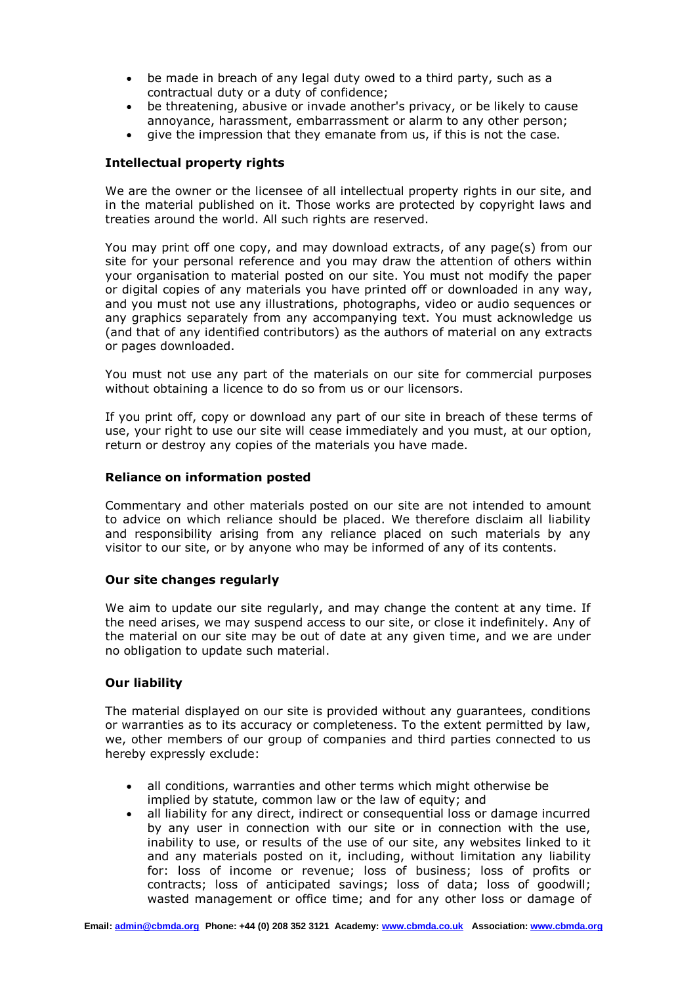- be made in breach of any legal duty owed to a third party, such as a contractual duty or a duty of confidence;
- be threatening, abusive or invade another's privacy, or be likely to cause annoyance, harassment, embarrassment or alarm to any other person;
- give the impression that they emanate from us, if this is not the case.

# **Intellectual property rights**

We are the owner or the licensee of all intellectual property rights in our site, and in the material published on it. Those works are protected by copyright laws and treaties around the world. All such rights are reserved.

You may print off one copy, and may download extracts, of any page(s) from our site for your personal reference and you may draw the attention of others within your organisation to material posted on our site. You must not modify the paper or digital copies of any materials you have printed off or downloaded in any way, and you must not use any illustrations, photographs, video or audio sequences or any graphics separately from any accompanying text. You must acknowledge us (and that of any identified contributors) as the authors of material on any extracts or pages downloaded.

You must not use any part of the materials on our site for commercial purposes without obtaining a licence to do so from us or our licensors.

If you print off, copy or download any part of our site in breach of these terms of use, your right to use our site will cease immediately and you must, at our option, return or destroy any copies of the materials you have made.

## **Reliance on information posted**

Commentary and other materials posted on our site are not intended to amount to advice on which reliance should be placed. We therefore disclaim all liability and responsibility arising from any reliance placed on such materials by any visitor to our site, or by anyone who may be informed of any of its contents.

## **Our site changes regularly**

We aim to update our site regularly, and may change the content at any time. If the need arises, we may suspend access to our site, or close it indefinitely. Any of the material on our site may be out of date at any given time, and we are under no obligation to update such material.

## **Our liability**

The material displayed on our site is provided without any guarantees, conditions or warranties as to its accuracy or completeness. To the extent permitted by law, we, other members of our group of companies and third parties connected to us hereby expressly exclude:

- all conditions, warranties and other terms which might otherwise be implied by statute, common law or the law of equity; and
- all liability for any direct, indirect or consequential loss or damage incurred by any user in connection with our site or in connection with the use, inability to use, or results of the use of our site, any websites linked to it and any materials posted on it, including, without limitation any liability for: loss of income or revenue; loss of business; loss of profits or contracts; loss of anticipated savings; loss of data; loss of goodwill; wasted management or office time; and for any other loss or damage of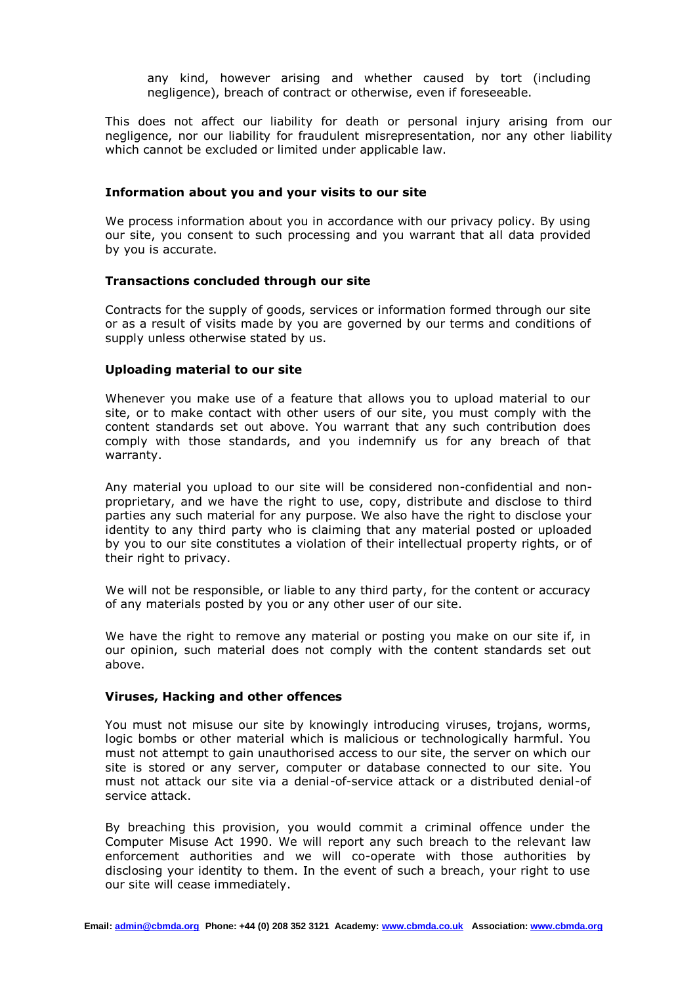any kind, however arising and whether caused by tort (including negligence), breach of contract or otherwise, even if foreseeable.

This does not affect our liability for death or personal injury arising from our negligence, nor our liability for fraudulent misrepresentation, nor any other liability which cannot be excluded or limited under applicable law.

#### **Information about you and your visits to our site**

We process information about you in accordance with our privacy policy. By using our site, you consent to such processing and you warrant that all data provided by you is accurate.

### **Transactions concluded through our site**

Contracts for the supply of goods, services or information formed through our site or as a result of visits made by you are governed by our terms and conditions of supply unless otherwise stated by us.

### **Uploading material to our site**

Whenever you make use of a feature that allows you to upload material to our site, or to make contact with other users of our site, you must comply with the content standards set out above. You warrant that any such contribution does comply with those standards, and you indemnify us for any breach of that warranty.

Any material you upload to our site will be considered non-confidential and nonproprietary, and we have the right to use, copy, distribute and disclose to third parties any such material for any purpose. We also have the right to disclose your identity to any third party who is claiming that any material posted or uploaded by you to our site constitutes a violation of their intellectual property rights, or of their right to privacy.

We will not be responsible, or liable to any third party, for the content or accuracy of any materials posted by you or any other user of our site.

We have the right to remove any material or posting you make on our site if, in our opinion, such material does not comply with the content standards set out above.

### **Viruses, Hacking and other offences**

You must not misuse our site by knowingly introducing viruses, trojans, worms, logic bombs or other material which is malicious or technologically harmful. You must not attempt to gain unauthorised access to our site, the server on which our site is stored or any server, computer or database connected to our site. You must not attack our site via a denial-of-service attack or a distributed denial-of service attack.

By breaching this provision, you would commit a criminal offence under the Computer Misuse Act 1990. We will report any such breach to the relevant law enforcement authorities and we will co-operate with those authorities by disclosing your identity to them. In the event of such a breach, your right to use our site will cease immediately.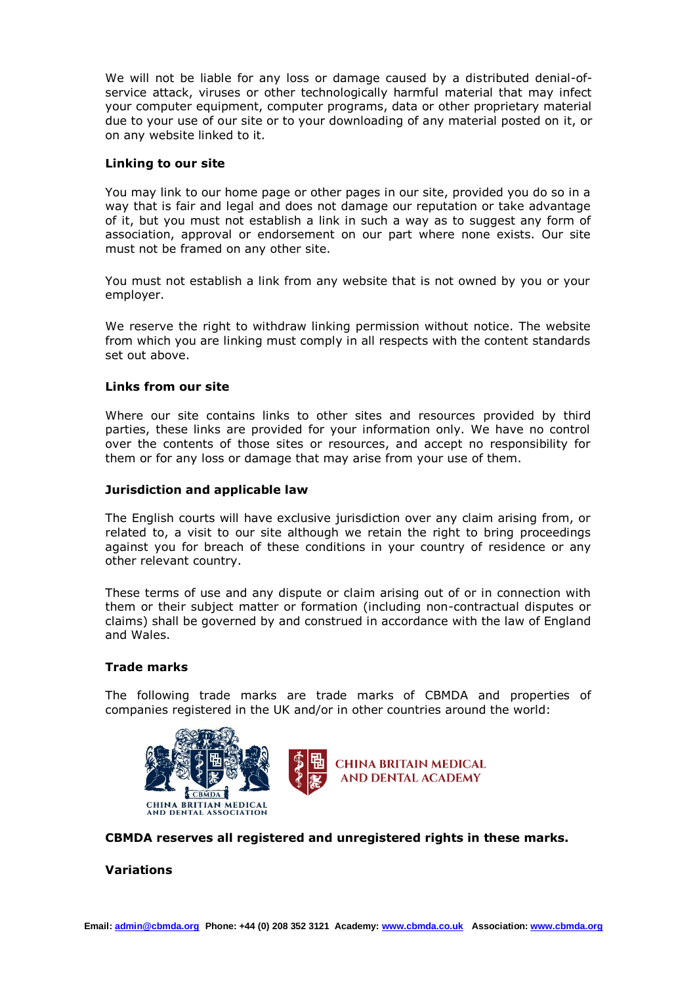We will not be liable for any loss or damage caused by a distributed denial-ofservice attack, viruses or other technologically harmful material that may infect your computer equipment, computer programs, data or other proprietary material due to your use of our site or to your downloading of any material posted on it, or on any website linked to it.

### **Linking to our site**

You may link to our home page or other pages in our site, provided you do so in a way that is fair and legal and does not damage our reputation or take advantage of it, but you must not establish a link in such a way as to suggest any form of association, approval or endorsement on our part where none exists. Our site must not be framed on any other site.

You must not establish a link from any website that is not owned by you or your employer.

We reserve the right to withdraw linking permission without notice. The website from which you are linking must comply in all respects with the content standards set out above.

### **Links from our site**

Where our site contains links to other sites and resources provided by third parties, these links are provided for your information only. We have no control over the contents of those sites or resources, and accept no responsibility for them or for any loss or damage that may arise from your use of them.

### **Jurisdiction and applicable law**

The English courts will have exclusive jurisdiction over any claim arising from, or related to, a visit to our site although we retain the right to bring proceedings against you for breach of these conditions in your country of residence or any other relevant country.

These terms of use and any dispute or claim arising out of or in connection with them or their subject matter or formation (including non-contractual disputes or claims) shall be governed by and construed in accordance with the law of England and Wales.

#### **Trade marks**

The following trade marks are trade marks of CBMDA and properties of companies registered in the UK and/or in other countries around the world:





**CBMDA reserves all registered and unregistered rights in these marks.**

#### **Variations**